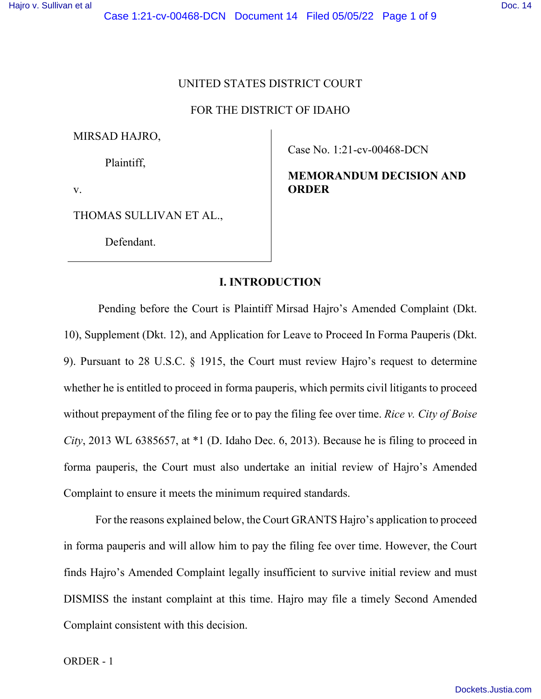# UNITED STATES DISTRICT COURT

### FOR THE DISTRICT OF IDAHO

MIRSAD HAJRO,

Plaintiff,

v.

THOMAS SULLIVAN ET AL.,

Defendant.

Case No. 1:21-cv-00468-DCN

**MEMORANDUM DECISION AND ORDER** 

# **I. INTRODUCTION**

 Pending before the Court is Plaintiff Mirsad Hajro's Amended Complaint (Dkt. 10), Supplement (Dkt. 12), and Application for Leave to Proceed In Forma Pauperis (Dkt. 9). Pursuant to 28 U.S.C. § 1915, the Court must review Hajro's request to determine whether he is entitled to proceed in forma pauperis, which permits civil litigants to proceed without prepayment of the filing fee or to pay the filing fee over time. *Rice v. City of Boise City*, 2013 WL 6385657, at \*1 (D. Idaho Dec. 6, 2013). Because he is filing to proceed in forma pauperis, the Court must also undertake an initial review of Hajro's Amended Complaint to ensure it meets the minimum required standards.

 For the reasons explained below, the Court GRANTS Hajro's application to proceed in forma pauperis and will allow him to pay the filing fee over time. However, the Court finds Hajro's Amended Complaint legally insufficient to survive initial review and must DISMISS the instant complaint at this time. Hajro may file a timely Second Amended Complaint consistent with this decision.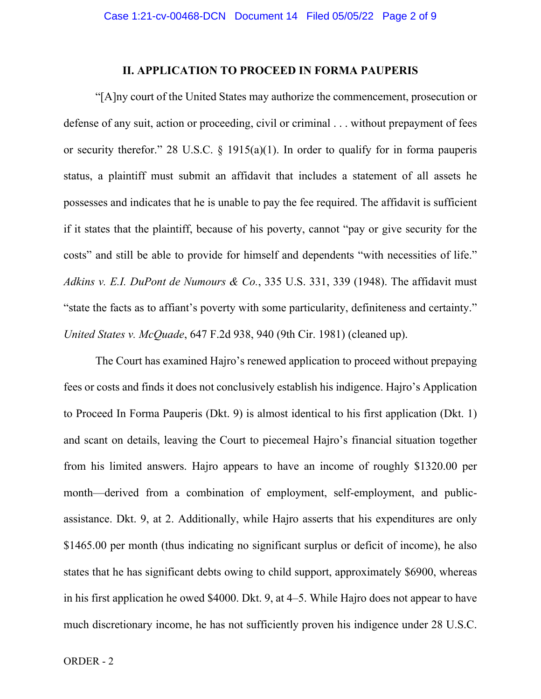### **II. APPLICATION TO PROCEED IN FORMA PAUPERIS**

"[A]ny court of the United States may authorize the commencement, prosecution or defense of any suit, action or proceeding, civil or criminal . . . without prepayment of fees or security therefor." 28 U.S.C.  $\S$  1915(a)(1). In order to qualify for in forma pauperis status, a plaintiff must submit an affidavit that includes a statement of all assets he possesses and indicates that he is unable to pay the fee required. The affidavit is sufficient if it states that the plaintiff, because of his poverty, cannot "pay or give security for the costs" and still be able to provide for himself and dependents "with necessities of life." *Adkins v. E.I. DuPont de Numours & Co.*, 335 U.S. 331, 339 (1948). The affidavit must "state the facts as to affiant's poverty with some particularity, definiteness and certainty." *United States v. McQuade*, 647 F.2d 938, 940 (9th Cir. 1981) (cleaned up).

The Court has examined Hajro's renewed application to proceed without prepaying fees or costs and finds it does not conclusively establish his indigence. Hajro's Application to Proceed In Forma Pauperis (Dkt. 9) is almost identical to his first application (Dkt. 1) and scant on details, leaving the Court to piecemeal Hajro's financial situation together from his limited answers. Hajro appears to have an income of roughly \$1320.00 per month—derived from a combination of employment, self-employment, and publicassistance. Dkt. 9, at 2. Additionally, while Hajro asserts that his expenditures are only \$1465.00 per month (thus indicating no significant surplus or deficit of income), he also states that he has significant debts owing to child support, approximately \$6900, whereas in his first application he owed \$4000. Dkt. 9, at 4–5. While Hajro does not appear to have much discretionary income, he has not sufficiently proven his indigence under 28 U.S.C.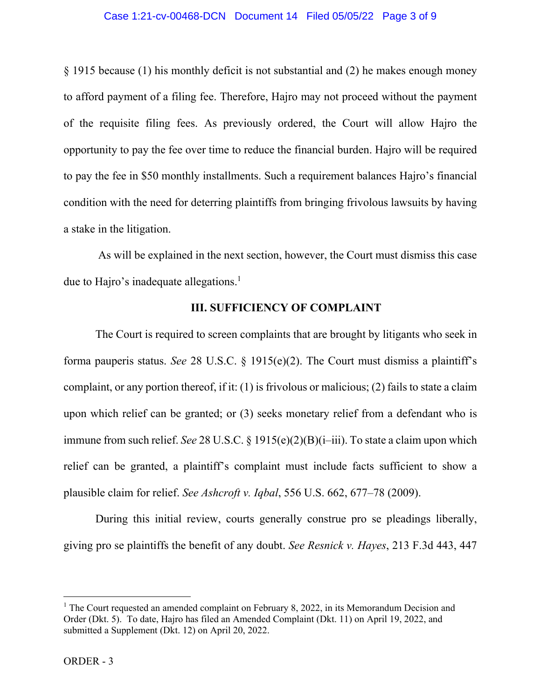#### Case 1:21-cv-00468-DCN Document 14 Filed 05/05/22 Page 3 of 9

§ 1915 because (1) his monthly deficit is not substantial and (2) he makes enough money to afford payment of a filing fee. Therefore, Hajro may not proceed without the payment of the requisite filing fees. As previously ordered, the Court will allow Hajro the opportunity to pay the fee over time to reduce the financial burden. Hajro will be required to pay the fee in \$50 monthly installments. Such a requirement balances Hajro's financial condition with the need for deterring plaintiffs from bringing frivolous lawsuits by having a stake in the litigation.

 As will be explained in the next section, however, the Court must dismiss this case due to Hajro's inadequate allegations. $<sup>1</sup>$ </sup>

## **III. SUFFICIENCY OF COMPLAINT**

The Court is required to screen complaints that are brought by litigants who seek in forma pauperis status. *See* 28 U.S.C. § 1915(e)(2). The Court must dismiss a plaintiff's complaint, or any portion thereof, if it: (1) is frivolous or malicious; (2) fails to state a claim upon which relief can be granted; or (3) seeks monetary relief from a defendant who is immune from such relief. *See* 28 U.S.C. § 1915(e)(2)(B)(i–iii). To state a claim upon which relief can be granted, a plaintiff's complaint must include facts sufficient to show a plausible claim for relief. *See Ashcroft v. Iqbal*, 556 U.S. 662, 677–78 (2009).

During this initial review, courts generally construe pro se pleadings liberally, giving pro se plaintiffs the benefit of any doubt. *See Resnick v. Hayes*, 213 F.3d 443, 447

<sup>&</sup>lt;sup>1</sup> The Court requested an amended complaint on February 8, 2022, in its Memorandum Decision and Order (Dkt. 5). To date, Hajro has filed an Amended Complaint (Dkt. 11) on April 19, 2022, and submitted a Supplement (Dkt. 12) on April 20, 2022.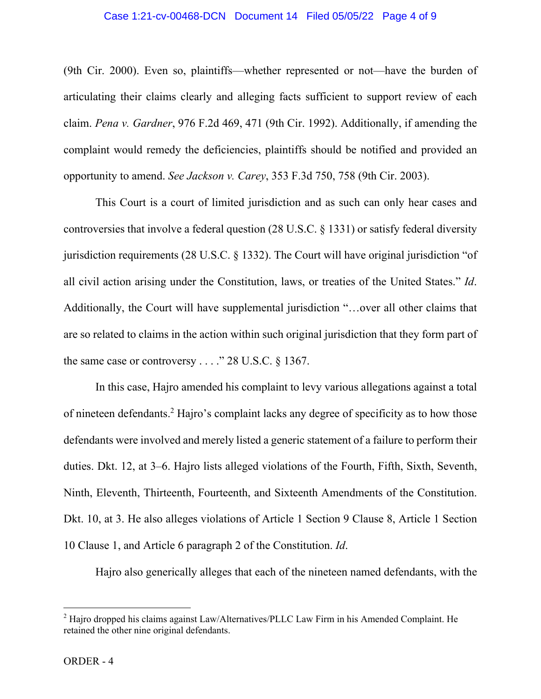#### Case 1:21-cv-00468-DCN Document 14 Filed 05/05/22 Page 4 of 9

(9th Cir. 2000). Even so, plaintiffs—whether represented or not—have the burden of articulating their claims clearly and alleging facts sufficient to support review of each claim. *Pena v. Gardner*, 976 F.2d 469, 471 (9th Cir. 1992). Additionally, if amending the complaint would remedy the deficiencies, plaintiffs should be notified and provided an opportunity to amend. *See Jackson v. Carey*, 353 F.3d 750, 758 (9th Cir. 2003).

This Court is a court of limited jurisdiction and as such can only hear cases and controversies that involve a federal question (28 U.S.C. § 1331) or satisfy federal diversity jurisdiction requirements (28 U.S.C. § 1332). The Court will have original jurisdiction "of all civil action arising under the Constitution, laws, or treaties of the United States." *Id*. Additionally, the Court will have supplemental jurisdiction "…over all other claims that are so related to claims in the action within such original jurisdiction that they form part of the same case or controversy  $\ldots$ ." 28 U.S.C. § 1367.

In this case, Hajro amended his complaint to levy various allegations against a total of nineteen defendants.<sup>2</sup> Hajro's complaint lacks any degree of specificity as to how those defendants were involved and merely listed a generic statement of a failure to perform their duties. Dkt. 12, at 3–6. Hajro lists alleged violations of the Fourth, Fifth, Sixth, Seventh, Ninth, Eleventh, Thirteenth, Fourteenth, and Sixteenth Amendments of the Constitution. Dkt. 10, at 3. He also alleges violations of Article 1 Section 9 Clause 8, Article 1 Section 10 Clause 1, and Article 6 paragraph 2 of the Constitution. *Id*.

Hajro also generically alleges that each of the nineteen named defendants, with the

 $2$  Hajro dropped his claims against Law/Alternatives/PLLC Law Firm in his Amended Complaint. He retained the other nine original defendants.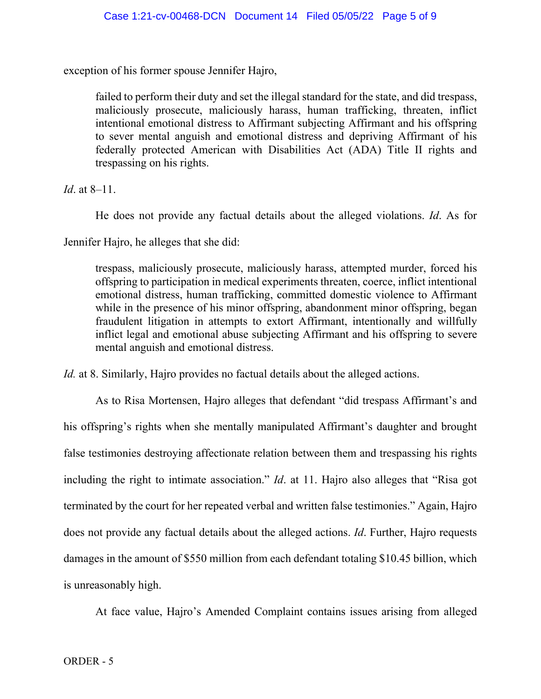exception of his former spouse Jennifer Hajro,

failed to perform their duty and set the illegal standard for the state, and did trespass, maliciously prosecute, maliciously harass, human trafficking, threaten, inflict intentional emotional distress to Affirmant subjecting Affirmant and his offspring to sever mental anguish and emotional distress and depriving Affirmant of his federally protected American with Disabilities Act (ADA) Title II rights and trespassing on his rights.

*Id*. at 8–11.

He does not provide any factual details about the alleged violations. *Id*. As for

Jennifer Hajro, he alleges that she did:

trespass, maliciously prosecute, maliciously harass, attempted murder, forced his offspring to participation in medical experiments threaten, coerce, inflict intentional emotional distress, human trafficking, committed domestic violence to Affirmant while in the presence of his minor offspring, abandonment minor offspring, began fraudulent litigation in attempts to extort Affirmant, intentionally and willfully inflict legal and emotional abuse subjecting Affirmant and his offspring to severe mental anguish and emotional distress.

*Id.* at 8. Similarly, Hajro provides no factual details about the alleged actions.

As to Risa Mortensen, Hajro alleges that defendant "did trespass Affirmant's and his offspring's rights when she mentally manipulated Affirmant's daughter and brought false testimonies destroying affectionate relation between them and trespassing his rights including the right to intimate association." *Id*. at 11. Hajro also alleges that "Risa got terminated by the court for her repeated verbal and written false testimonies." Again, Hajro does not provide any factual details about the alleged actions. *Id*. Further, Hajro requests damages in the amount of \$550 million from each defendant totaling \$10.45 billion, which is unreasonably high.

At face value, Hajro's Amended Complaint contains issues arising from alleged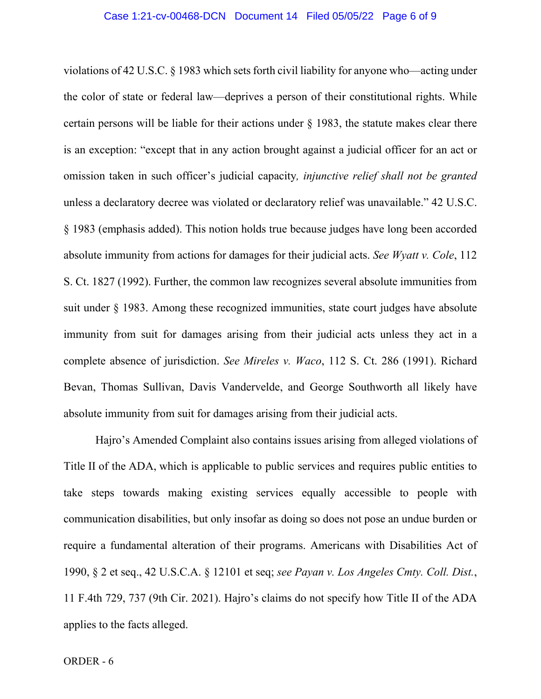violations of 42 U.S.C. § 1983 which sets forth civil liability for anyone who—acting under the color of state or federal law—deprives a person of their constitutional rights. While certain persons will be liable for their actions under  $\S$  1983, the statute makes clear there is an exception: "except that in any action brought against a judicial officer for an act or omission taken in such officer's judicial capacity*, injunctive relief shall not be granted* unless a declaratory decree was violated or declaratory relief was unavailable." 42 U.S.C. § 1983 (emphasis added). This notion holds true because judges have long been accorded absolute immunity from actions for damages for their judicial acts. *See Wyatt v. Cole*, 112 S. Ct. 1827 (1992). Further, the common law recognizes several absolute immunities from suit under § 1983. Among these recognized immunities, state court judges have absolute immunity from suit for damages arising from their judicial acts unless they act in a complete absence of jurisdiction. *See Mireles v. Waco*, 112 S. Ct. 286 (1991). Richard Bevan, Thomas Sullivan, Davis Vandervelde, and George Southworth all likely have absolute immunity from suit for damages arising from their judicial acts.

Hajro's Amended Complaint also contains issues arising from alleged violations of Title II of the ADA, which is applicable to public services and requires public entities to take steps towards making existing services equally accessible to people with communication disabilities, but only insofar as doing so does not pose an undue burden or require a fundamental alteration of their programs. Americans with Disabilities Act of 1990, § 2 et seq., 42 U.S.C.A. § 12101 et seq; *see Payan v. Los Angeles Cmty. Coll. Dist.*, 11 F.4th 729, 737 (9th Cir. 2021). Hajro's claims do not specify how Title II of the ADA applies to the facts alleged.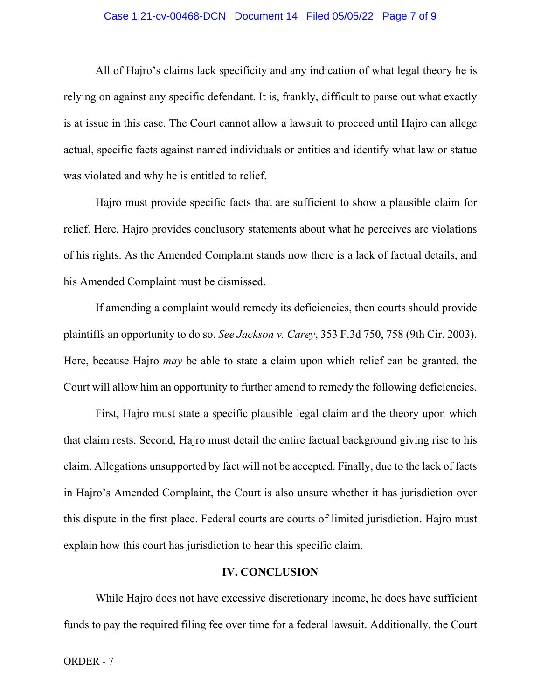#### Case 1:21-cv-00468-DCN Document 14 Filed 05/05/22 Page 7 of 9

All of Hajro's claims lack specificity and any indication of what legal theory he is relying on against any specific defendant. It is, frankly, difficult to parse out what exactly is at issue in this case. The Court cannot allow a lawsuit to proceed until Hajro can allege actual, specific facts against named individuals or entities and identify what law or statue was violated and why he is entitled to relief.

Hajro must provide specific facts that are sufficient to show a plausible claim for relief. Here, Hajro provides conclusory statements about what he perceives are violations of his rights. As the Amended Complaint stands now there is a lack of factual details, and his Amended Complaint must be dismissed.

If amending a complaint would remedy its deficiencies, then courts should provide plaintiffs an opportunity to do so. *See Jackson v. Carey*, 353 F.3d 750, 758 (9th Cir. 2003). Here, because Hajro *may* be able to state a claim upon which relief can be granted, the Court will allow him an opportunity to further amend to remedy the following deficiencies.

First, Hajro must state a specific plausible legal claim and the theory upon which that claim rests. Second, Hajro must detail the entire factual background giving rise to his claim. Allegations unsupported by fact will not be accepted. Finally, due to the lack of facts in Hajro's Amended Complaint, the Court is also unsure whether it has jurisdiction over this dispute in the first place. Federal courts are courts of limited jurisdiction. Hajro must explain how this court has jurisdiction to hear this specific claim.

## **IV. CONCLUSION**

While Hajro does not have excessive discretionary income, he does have sufficient funds to pay the required filing fee over time for a federal lawsuit. Additionally, the Court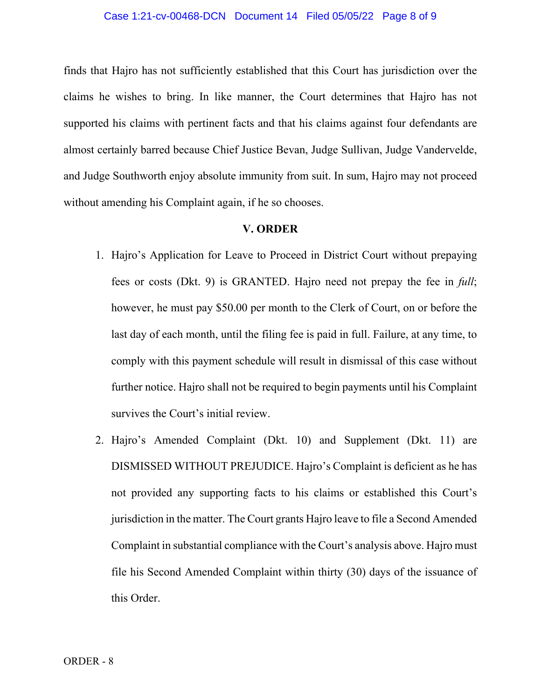#### Case 1:21-cv-00468-DCN Document 14 Filed 05/05/22 Page 8 of 9

finds that Hajro has not sufficiently established that this Court has jurisdiction over the claims he wishes to bring. In like manner, the Court determines that Hajro has not supported his claims with pertinent facts and that his claims against four defendants are almost certainly barred because Chief Justice Bevan, Judge Sullivan, Judge Vandervelde, and Judge Southworth enjoy absolute immunity from suit. In sum, Hajro may not proceed without amending his Complaint again, if he so chooses.

#### **V. ORDER**

- 1. Hajro's Application for Leave to Proceed in District Court without prepaying fees or costs (Dkt. 9) is GRANTED. Hajro need not prepay the fee in *full*; however, he must pay \$50.00 per month to the Clerk of Court, on or before the last day of each month, until the filing fee is paid in full. Failure, at any time, to comply with this payment schedule will result in dismissal of this case without further notice. Hajro shall not be required to begin payments until his Complaint survives the Court's initial review.
- 2. Hajro's Amended Complaint (Dkt. 10) and Supplement (Dkt. 11) are DISMISSED WITHOUT PREJUDICE. Hajro's Complaint is deficient as he has not provided any supporting facts to his claims or established this Court's jurisdiction in the matter. The Court grants Hajro leave to file a Second Amended Complaint in substantial compliance with the Court's analysis above. Hajro must file his Second Amended Complaint within thirty (30) days of the issuance of this Order.